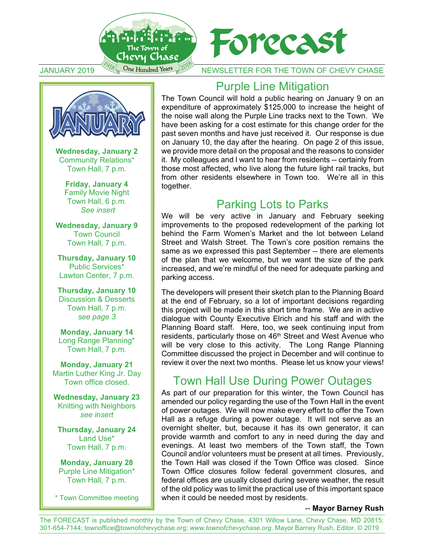



**Wednesday, January 2** Community Relations\* Town Hall, 7 p.m.

> **Friday, January 4**  Family Movie Night Town Hall, 6 p.m.  *See insert*

**Wednesday, January 9**  Town Council Town Hall, 7 p.m.

**Thursday, January 10**  Public Services\* Lawton Center, 7 p.m.

**Thursday, January 10**  Discussion & Desserts Town Hall, 7 p.m. *see page 3* 

**Monday, January 14**  Long Range Planning\* Town Hall, 7 p.m.

**Monday, January 21**  Martin Luther King Jr. Day Town office closed.

**Wednesday, January 23**  Knitting with Neighbors *see insert* 

**Thursday, January 24**  Land Use\* Town Hall, 7 p.m.

**Monday, January 28**  Purple Line Mitigation\* Town Hall, 7 p.m.

\* Town Committee meeting

### Purple Line Mitigation

The Town Council will hold a public hearing on January 9 on an expenditure of approximately \$125,000 to increase the height of the noise wall along the Purple Line tracks next to the Town. We have been asking for a cost estimate for this change order for the past seven months and have just received it. Our response is due on January 10, the day after the hearing. On page 2 of this issue, we provide more detail on the proposal and the reasons to consider it. My colleagues and I want to hear from residents -- certainly from those most affected, who live along the future light rail tracks, but from other residents elsewhere in Town too. We're all in this together.

#### Parking Lots to Parks

We will be very active in January and February seeking improvements to the proposed redevelopment of the parking lot behind the Farm Women's Market and the lot between Leland Street and Walsh Street. The Town's core position remains the same as we expressed this past September -- there are elements of the plan that we welcome, but we want the size of the park increased, and we're mindful of the need for adequate parking and parking access.

The developers will present their sketch plan to the Planning Board at the end of February, so a lot of important decisions regarding this project will be made in this short time frame. We are in active dialogue with County Executive Elrich and his staff and with the Planning Board staff. Here, too, we seek continuing input from residents, particularly those on 46<sup>th</sup> Street and West Avenue who will be very close to this activity. The Long Range Planning Committee discussed the project in December and will continue to review it over the next two months. Please let us know your views!

### Town Hall Use During Power Outages

As part of our preparation for this winter, the Town Council has amended our policy regarding the use of the Town Hall in the event of power outages. We will now make every effort to offer the Town Hall as a refuge during a power outage. It will not serve as an overnight shelter, but, because it has its own generator, it can provide warmth and comfort to any in need during the day and evenings. At least two members of the Town staff, the Town Council and/or volunteers must be present at all times. Previously, the Town Hall was closed if the Town Office was closed. Since Town Office closures follow federal government closures, and federal offices are usually closed during severe weather, the result of the old policy was to limit the practical use of this important space when it could be needed most by residents.

#### -- **Mayor Barney Rush**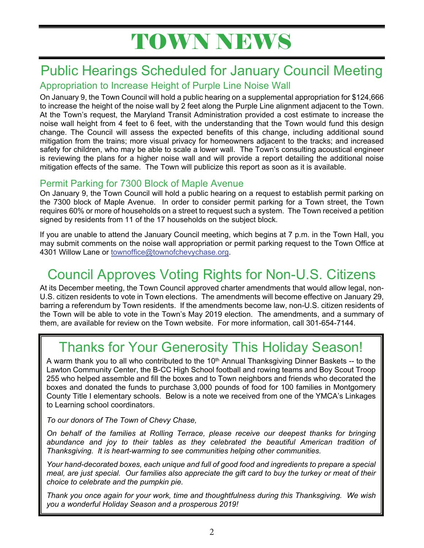# TOWN NEWS

## Public Hearings Scheduled for January Council Meeting

#### Appropriation to Increase Height of Purple Line Noise Wall

On January 9, the Town Council will hold a public hearing on a supplemental appropriation for \$124,666 to increase the height of the noise wall by 2 feet along the Purple Line alignment adjacent to the Town. At the Town's request, the Maryland Transit Administration provided a cost estimate to increase the noise wall height from 4 feet to 6 feet, with the understanding that the Town would fund this design change. The Council will assess the expected benefits of this change, including additional sound mitigation from the trains; more visual privacy for homeowners adjacent to the tracks; and increased safety for children, who may be able to scale a lower wall. The Town's consulting acoustical engineer is reviewing the plans for a higher noise wall and will provide a report detailing the additional noise mitigation effects of the same. The Town will publicize this report as soon as it is available.

#### Permit Parking for 7300 Block of Maple Avenue

On January 9, the Town Council will hold a public hearing on a request to establish permit parking on the 7300 block of Maple Avenue. In order to consider permit parking for a Town street, the Town requires 60% or more of households on a street to request such a system. The Town received a petition signed by residents from 11 of the 17 households on the subject block.

If you are unable to attend the January Council meeting, which begins at 7 p.m. in the Town Hall, you may submit comments on the noise wall appropriation or permit parking request to the Town Office at 4301 Willow Lane or townoffice@townofchevychase.org.

# Council Approves Voting Rights for Non-U.S. Citizens

At its December meeting, the Town Council approved charter amendments that would allow legal, non-U.S. citizen residents to vote in Town elections. The amendments will become effective on January 29, barring a referendum by Town residents. If the amendments become law, non-U.S. citizen residents of the Town will be able to vote in the Town's May 2019 election. The amendments, and a summary of them, are available for review on the Town website. For more information, call 301-654-7144.

# Thanks for Your Generosity This Holiday Season!

A warm thank you to all who contributed to the  $10<sup>th</sup>$  Annual Thanksgiving Dinner Baskets -- to the Lawton Community Center, the B-CC High School football and rowing teams and Boy Scout Troop 255 who helped assemble and fill the boxes and to Town neighbors and friends who decorated the boxes and donated the funds to purchase 3,000 pounds of food for 100 families in Montgomery County Title I elementary schools. Below is a note we received from one of the YMCA's Linkages to Learning school coordinators.

*To our donors of The Town of Chevy Chase,* 

*On behalf of the families at Rolling Terrace, please receive our deepest thanks for bringing abundance and joy to their tables as they celebrated the beautiful American tradition of Thanksgiving. It is heart-warming to see communities helping other communities.* 

*Your hand-decorated boxes, each unique and full of good food and ingredients to prepare a special meal, are just special. Our families also appreciate the gift card to buy the turkey or meat of their choice to celebrate and the pumpkin pie.* 

*Thank you once again for your work, time and thoughtfulness during this Thanksgiving. We wish you a wonderful Holiday Season and a prosperous 2019!*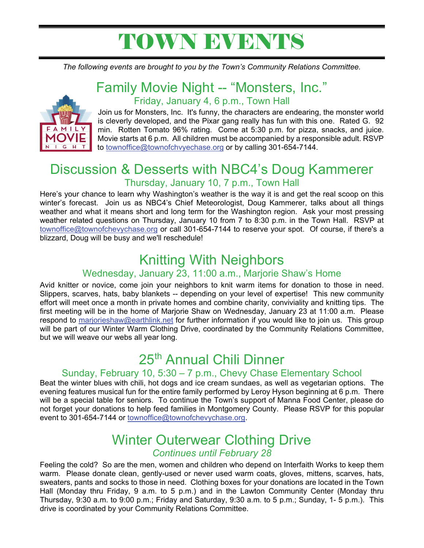# TOWN EVENTS

*The following events are brought to you by the Town's Community Relations Committee.*



#### Family Movie Night -- "Monsters, Inc." Friday, January 4, 6 p.m., Town Hall

Join us for Monsters, Inc. It's funny, the characters are endearing, the monster world is cleverly developed, and the Pixar gang really has fun with this one. Rated G. 92 min. Rotten Tomato 96% rating. Come at 5:30 p.m. for pizza, snacks, and juice. Movie starts at 6 p.m. All children must be accompanied by a responsible adult. RSVP to townoffice@townofchvyechase.org or by calling 301-654-7144.

#### Discussion & Desserts with NBC4's Doug Kammerer Thursday, January 10, 7 p.m., Town Hall

Here's your chance to learn why Washington's weather is the way it is and get the real scoop on this winter's forecast. Join us as NBC4's Chief Meteorologist, Doug Kammerer, talks about all things weather and what it means short and long term for the Washington region. Ask your most pressing weather related questions on Thursday, January 10 from 7 to 8:30 p.m. in the Town Hall. RSVP at townoffice@townofchevychase.org or call 301-654-7144 to reserve your spot. Of course, if there's a blizzard, Doug will be busy and we'll reschedule!

### Knitting With Neighbors

#### Wednesday, January 23, 11:00 a.m., Marjorie Shaw's Home

Avid knitter or novice, come join your neighbors to knit warm items for donation to those in need. Slippers, scarves, hats, baby blankets -- depending on your level of expertise! This new community effort will meet once a month in private homes and combine charity, conviviality and knitting tips. The first meeting will be in the home of Marjorie Shaw on Wednesday, January 23 at 11:00 a.m. Please respond to marjorieshaw@earthlink.net for further information if you would like to join us. This group will be part of our Winter Warm Clothing Drive, coordinated by the Community Relations Committee, but we will weave our webs all year long.

# 25th Annual Chili Dinner

#### Sunday, February 10, 5:30 – 7 p.m., Chevy Chase Elementary School

Beat the winter blues with chili, hot dogs and ice cream sundaes, as well as vegetarian options. The evening features musical fun for the entire family performed by Leroy Hyson beginning at 6 p.m. There will be a special table for seniors. To continue the Town's support of Manna Food Center, please do not forget your donations to help feed families in Montgomery County. Please RSVP for this popular event to 301-654-7144 or townoffice@townofchevychase.org.

#### Winter Outerwear Clothing Drive *Continues until February 28*

Feeling the cold? So are the men, women and children who depend on Interfaith Works to keep them warm. Please donate clean, gently-used or never used warm coats, gloves, mittens, scarves, hats, sweaters, pants and socks to those in need. Clothing boxes for your donations are located in the Town Hall (Monday thru Friday, 9 a.m. to 5 p.m.) and in the Lawton Community Center (Monday thru Thursday, 9:30 a.m. to 9:00 p.m.; Friday and Saturday, 9:30 a.m. to 5 p.m.; Sunday, 1- 5 p.m.). This drive is coordinated by your Community Relations Committee.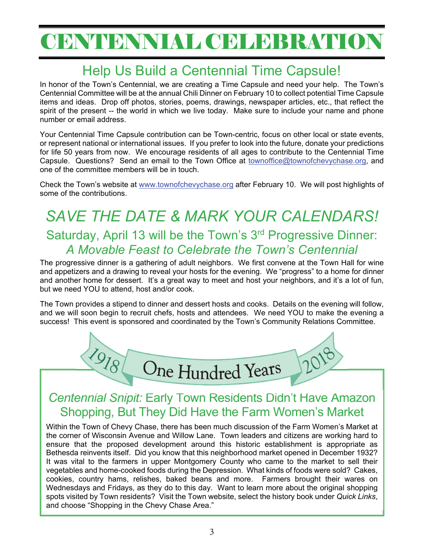# CENTENNIAL CELEBRATION

# Help Us Build a Centennial Time Capsule!

In honor of the Town's Centennial, we are creating a Time Capsule and need your help. The Town's Centennial Committee will be at the annual Chili Dinner on February 10 to collect potential Time Capsule items and ideas. Drop off photos, stories, poems, drawings, newspaper articles, etc., that reflect the spirit of the present -- the world in which we live today. Make sure to include your name and phone number or email address.

Your Centennial Time Capsule contribution can be Town-centric, focus on other local or state events, or represent national or international issues. If you prefer to look into the future, donate your predictions for life 50 years from now. We encourage residents of all ages to contribute to the Centennial Time Capsule. Questions? Send an email to the Town Office at townoffice@townofchevychase.org, and one of the committee members will be in touch.

Check the Town's website at www.townofchevychase.org after February 10. We will post highlights of some of the contributions.

## *SAVE THE DATE & MARK YOUR CALENDARS!*  Saturday, April 13 will be the Town's 3<sup>rd</sup> Progressive Dinner: *A Movable Feast to Celebrate the Town's Centennial*

The progressive dinner is a gathering of adult neighbors. We first convene at the Town Hall for wine and appetizers and a drawing to reveal your hosts for the evening. We "progress" to a home for dinner and another home for dessert. It's a great way to meet and host your neighbors, and it's a lot of fun, but we need YOU to attend, host and/or cook.

The Town provides a stipend to dinner and dessert hosts and cooks. Details on the evening will follow, and we will soon begin to recruit chefs, hosts and attendees. We need YOU to make the evening a success! This event is sponsored and coordinated by the Town's Community Relations Committee.



#### *Centennial Snipit:* Early Town Residents Didn't Have Amazon Shopping, But They Did Have the Farm Women's Market

Within the Town of Chevy Chase, there has been much discussion of the Farm Women's Market at the corner of Wisconsin Avenue and Willow Lane. Town leaders and citizens are working hard to ensure that the proposed development around this historic establishment is appropriate as Bethesda reinvents itself. Did you know that this neighborhood market opened in December 1932? It was vital to the farmers in upper Montgomery County who came to the market to sell their vegetables and home-cooked foods during the Depression. What kinds of foods were sold? Cakes, cookies, country hams, relishes, baked beans and more. Farmers brought their wares on Wednesdays and Fridays, as they do to this day. Want to learn more about the original shopping spots visited by Town residents? Visit the Town website, select the history book under *Quick Links*, and choose "Shopping in the Chevy Chase Area."